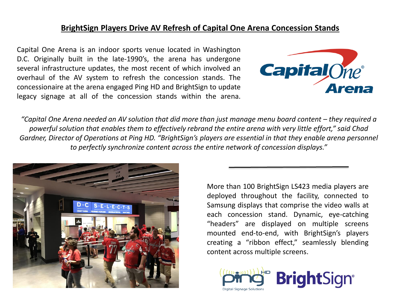## **BrightSign Players Drive AV Refresh of Capital One Arena Concession Stands**

Capital One Arena is an indoor sports venue located in Washington D.C. Originally built in the late-1990's, the arena has undergone several infrastructure updates, the most recent of which involved an overhaul of the AV system to refresh the concession stands. The concessionaire at the arena engaged Ping HD and BrightSign to update legacy signage at all of the concession stands within the arena.



*"Capital One Arena needed an AV solution that did more than just manage menu board content – they required a powerful solution that enables them to effectively rebrand the entire arena with very little effort," said Chad Gardner, Director of Operations at Ping HD. "BrightSign's players are essential in that they enable arena personnel to perfectly synchronize content across the entire network of concession displays."*



More than 100 BrightSign LS423 media players are deployed throughout the facility, connected to Samsung displays that comprise the video walls at each concession stand. Dynamic, eye-catching "headers" are displayed on multiple screens mounted end-to-end, with BrightSign's players creating a "ribbon effect," seamlessly blending content across multiple screens.